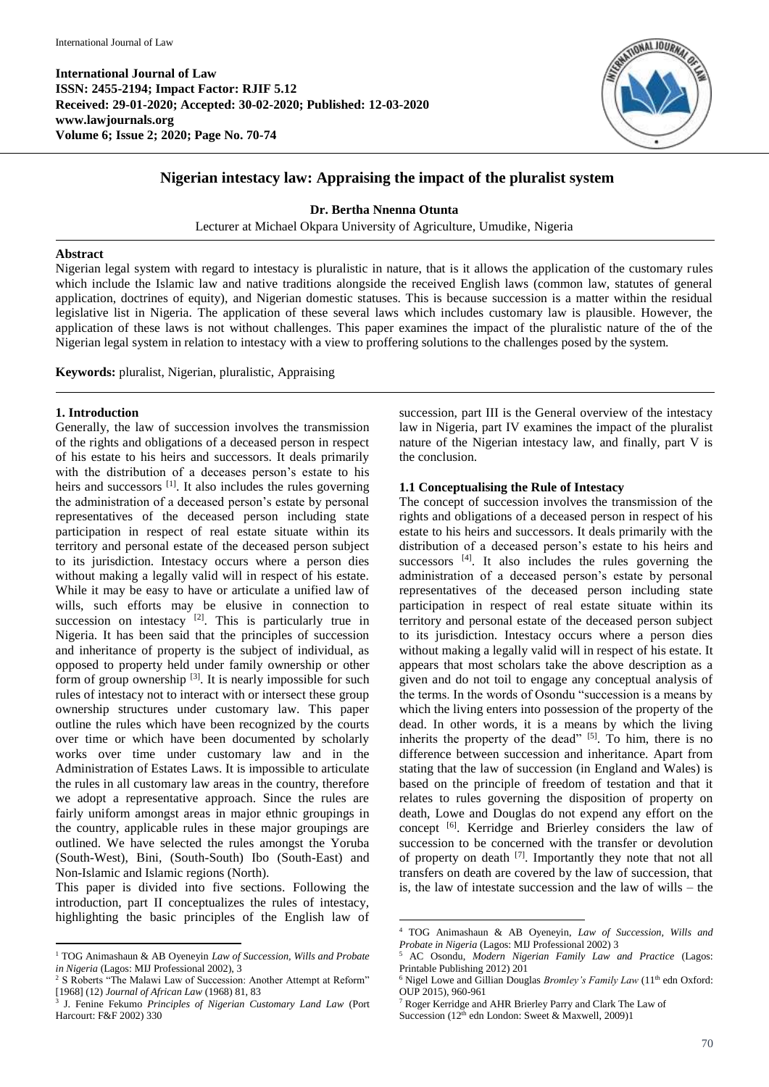**International Journal of Law ISSN: 2455-2194; Impact Factor: RJIF 5.12 Received: 29-01-2020; Accepted: 30-02-2020; Published: 12-03-2020 www.lawjournals.org Volume 6; Issue 2; 2020; Page No. 70-74**



# **Nigerian intestacy law: Appraising the impact of the pluralist system**

**Dr. Bertha Nnenna Otunta**

Lecturer at Michael Okpara University of Agriculture, Umudike, Nigeria

### **Abstract**

Nigerian legal system with regard to intestacy is pluralistic in nature, that is it allows the application of the customary rules which include the Islamic law and native traditions alongside the received English laws (common law, statutes of general application, doctrines of equity), and Nigerian domestic statuses. This is because succession is a matter within the residual legislative list in Nigeria. The application of these several laws which includes customary law is plausible. However, the application of these laws is not without challenges. This paper examines the impact of the pluralistic nature of the of the Nigerian legal system in relation to intestacy with a view to proffering solutions to the challenges posed by the system.

**Keywords:** pluralist, Nigerian, pluralistic, Appraising

## **1. Introduction**

**.** 

Generally, the law of succession involves the transmission of the rights and obligations of a deceased person in respect of his estate to his heirs and successors. It deals primarily with the distribution of a deceases person's estate to his heirs and successors <sup>[1]</sup>. It also includes the rules governing the administration of a deceased person's estate by personal representatives of the deceased person including state participation in respect of real estate situate within its territory and personal estate of the deceased person subject to its jurisdiction. Intestacy occurs where a person dies without making a legally valid will in respect of his estate. While it may be easy to have or articulate a unified law of wills, such efforts may be elusive in connection to succession on intestacy  $[2]$ . This is particularly true in Nigeria. It has been said that the principles of succession and inheritance of property is the subject of individual, as opposed to property held under family ownership or other form of group ownership<sup>[3]</sup>. It is nearly impossible for such rules of intestacy not to interact with or intersect these group ownership structures under customary law. This paper outline the rules which have been recognized by the courts over time or which have been documented by scholarly works over time under customary law and in the Administration of Estates Laws. It is impossible to articulate the rules in all customary law areas in the country, therefore we adopt a representative approach. Since the rules are fairly uniform amongst areas in major ethnic groupings in the country, applicable rules in these major groupings are outlined. We have selected the rules amongst the Yoruba (South-West), Bini, (South-South) Ibo (South-East) and Non-Islamic and Islamic regions (North).

This paper is divided into five sections. Following the introduction, part II conceptualizes the rules of intestacy, highlighting the basic principles of the English law of succession, part III is the General overview of the intestacy law in Nigeria, part IV examines the impact of the pluralist nature of the Nigerian intestacy law, and finally, part V is the conclusion.

## **1.1 Conceptualising the Rule of Intestacy**

The concept of succession involves the transmission of the rights and obligations of a deceased person in respect of his estate to his heirs and successors. It deals primarily with the distribution of a deceased person's estate to his heirs and successors <sup>[4]</sup>. It also includes the rules governing the administration of a deceased person's estate by personal representatives of the deceased person including state participation in respect of real estate situate within its territory and personal estate of the deceased person subject to its jurisdiction. Intestacy occurs where a person dies without making a legally valid will in respect of his estate. It appears that most scholars take the above description as a given and do not toil to engage any conceptual analysis of the terms. In the words of Osondu "succession is a means by which the living enters into possession of the property of the dead. In other words, it is a means by which the living inherits the property of the dead" [5]. To him, there is no difference between succession and inheritance. Apart from stating that the law of succession (in England and Wales) is based on the principle of freedom of testation and that it relates to rules governing the disposition of property on death, Lowe and Douglas do not expend any effort on the concept <a>[6]</a>. Kerridge and Brierley considers the law of succession to be concerned with the transfer or devolution of property on death <sup>[7]</sup>. Importantly they note that not all transfers on death are covered by the law of succession, that is, the law of intestate succession and the law of wills – the

**.** 

<sup>1</sup> TOG Animashaun & AB Oyeneyin *Law of Succession, Wills and Probate in Nigeria* (Lagos: MIJ Professional 2002), 3

<sup>&</sup>lt;sup>2</sup> S Roberts "The Malawi Law of Succession: Another Attempt at Reform" [1968] (12) *Journal of African Law* (1968) 81, 83

<sup>3</sup> J. Fenine Fekumo *Principles of Nigerian Customary Land Law* (Port Harcourt: F&F 2002) 330

<sup>4</sup> TOG Animashaun & AB Oyeneyin, *Law of Succession, Wills and Probate in Nigeria* (Lagos: MIJ Professional 2002) 3

<sup>5</sup> AC Osondu, *Modern Nigerian Family Law and Practice* (Lagos: Printable Publishing 2012) 201

<sup>&</sup>lt;sup>6</sup> Nigel Lowe and Gillian Douglas *Bromley's Family Law* (11<sup>th</sup> edn Oxford: OUP 2015), 960-961

<sup>7</sup> Roger Kerridge and AHR Brierley Parry and Clark The Law of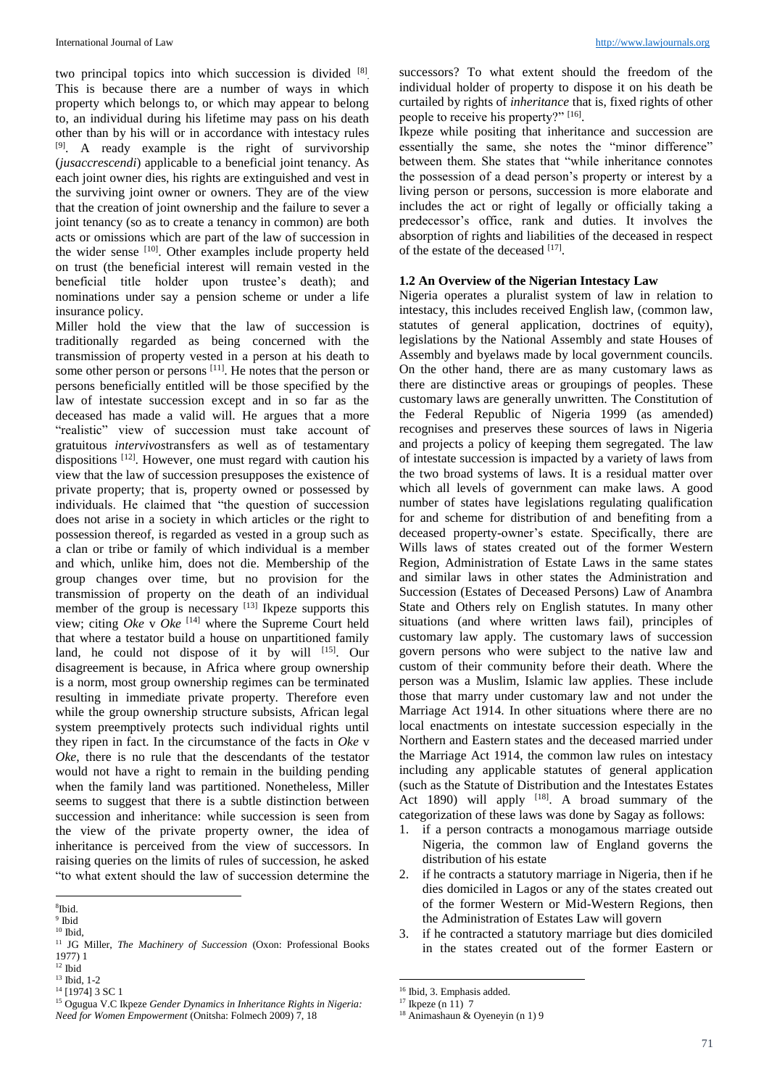two principal topics into which succession is divided [8]. This is because there are a number of ways in which property which belongs to, or which may appear to belong to, an individual during his lifetime may pass on his death other than by his will or in accordance with intestacy rules <sup>[9]</sup>. A ready example is the right of survivorship (*jusaccrescendi*) applicable to a beneficial joint tenancy. As each joint owner dies, his rights are extinguished and vest in the surviving joint owner or owners. They are of the view that the creation of joint ownership and the failure to sever a joint tenancy (so as to create a tenancy in common) are both acts or omissions which are part of the law of succession in the wider sense [10]. Other examples include property held on trust (the beneficial interest will remain vested in the beneficial title holder upon trustee's death); and nominations under say a pension scheme or under a life insurance policy.

Miller hold the view that the law of succession is traditionally regarded as being concerned with the transmission of property vested in a person at his death to some other person or persons [11]. He notes that the person or persons beneficially entitled will be those specified by the law of intestate succession except and in so far as the deceased has made a valid will. He argues that a more "realistic" view of succession must take account of gratuitous *intervivos*transfers as well as of testamentary dispositions <sup>[12]</sup>. However, one must regard with caution his view that the law of succession presupposes the existence of private property; that is, property owned or possessed by individuals. He claimed that "the question of succession does not arise in a society in which articles or the right to possession thereof, is regarded as vested in a group such as a clan or tribe or family of which individual is a member and which, unlike him, does not die. Membership of the group changes over time, but no provision for the transmission of property on the death of an individual member of the group is necessary  $[13]$  Ikpeze supports this view; citing *Oke* v *Oke* [14] where the Supreme Court held that where a testator build a house on unpartitioned family land, he could not dispose of it by will [15]. Our disagreement is because, in Africa where group ownership is a norm, most group ownership regimes can be terminated resulting in immediate private property. Therefore even while the group ownership structure subsists, African legal system preemptively protects such individual rights until they ripen in fact. In the circumstance of the facts in *Oke* v *Oke*, there is no rule that the descendants of the testator would not have a right to remain in the building pending when the family land was partitioned. Nonetheless, Miller seems to suggest that there is a subtle distinction between succession and inheritance: while succession is seen from the view of the private property owner, the idea of inheritance is perceived from the view of successors. In raising queries on the limits of rules of succession, he asked "to what extent should the law of succession determine the

**.** 

successors? To what extent should the freedom of the individual holder of property to dispose it on his death be curtailed by rights of *inheritance* that is, fixed rights of other people to receive his property?" [16].

Ikpeze while positing that inheritance and succession are essentially the same, she notes the "minor difference" between them. She states that "while inheritance connotes the possession of a dead person's property or interest by a living person or persons, succession is more elaborate and includes the act or right of legally or officially taking a predecessor's office, rank and duties. It involves the absorption of rights and liabilities of the deceased in respect of the estate of the deceased [17].

# **1.2 An Overview of the Nigerian Intestacy Law**

Nigeria operates a pluralist system of law in relation to intestacy, this includes received English law, (common law, statutes of general application, doctrines of equity), legislations by the National Assembly and state Houses of Assembly and byelaws made by local government councils. On the other hand, there are as many customary laws as there are distinctive areas or groupings of peoples. These customary laws are generally unwritten. The Constitution of the Federal Republic of Nigeria 1999 (as amended) recognises and preserves these sources of laws in Nigeria and projects a policy of keeping them segregated. The law of intestate succession is impacted by a variety of laws from the two broad systems of laws. It is a residual matter over which all levels of government can make laws. A good number of states have legislations regulating qualification for and scheme for distribution of and benefiting from a deceased property-owner's estate. Specifically, there are Wills laws of states created out of the former Western Region, Administration of Estate Laws in the same states and similar laws in other states the Administration and Succession (Estates of Deceased Persons) Law of Anambra State and Others rely on English statutes. In many other situations (and where written laws fail), principles of customary law apply. The customary laws of succession govern persons who were subject to the native law and custom of their community before their death. Where the person was a Muslim, Islamic law applies. These include those that marry under customary law and not under the Marriage Act 1914. In other situations where there are no local enactments on intestate succession especially in the Northern and Eastern states and the deceased married under the Marriage Act 1914, the common law rules on intestacy including any applicable statutes of general application (such as the Statute of Distribution and the Intestates Estates Act 1890) will apply  $[18]$ . A broad summary of the categorization of these laws was done by Sagay as follows:

- 1. if a person contracts a monogamous marriage outside Nigeria, the common law of England governs the distribution of his estate
- 2. if he contracts a statutory marriage in Nigeria, then if he dies domiciled in Lagos or any of the states created out of the former Western or Mid-Western Regions, then the Administration of Estates Law will govern
- 3. if he contracted a statutory marriage but dies domiciled in the states created out of the former Eastern or

1

<sup>8</sup> Ibid.

<sup>&</sup>lt;sup>9</sup> Ibid  $10$  Ibid,

<sup>&</sup>lt;sup>11</sup> JG Miller, *The Machinery of Succession* (Oxon: Professional Books 1977) 1

 $12$  Ibid

<sup>13</sup> Ibid, 1-2

<sup>&</sup>lt;sup>14</sup> [1974] 3 SC 1

<sup>15</sup> Ogugua V.C Ikpeze *Gender Dynamics in Inheritance Rights in Nigeria: Need for Women Empowerment* (Onitsha: Folmech 2009) 7, 18

<sup>16</sup> Ibid, 3. Emphasis added.

 $17$  Ikpeze (n 11) 7

<sup>18</sup> Animashaun & Oyeneyin (n 1) 9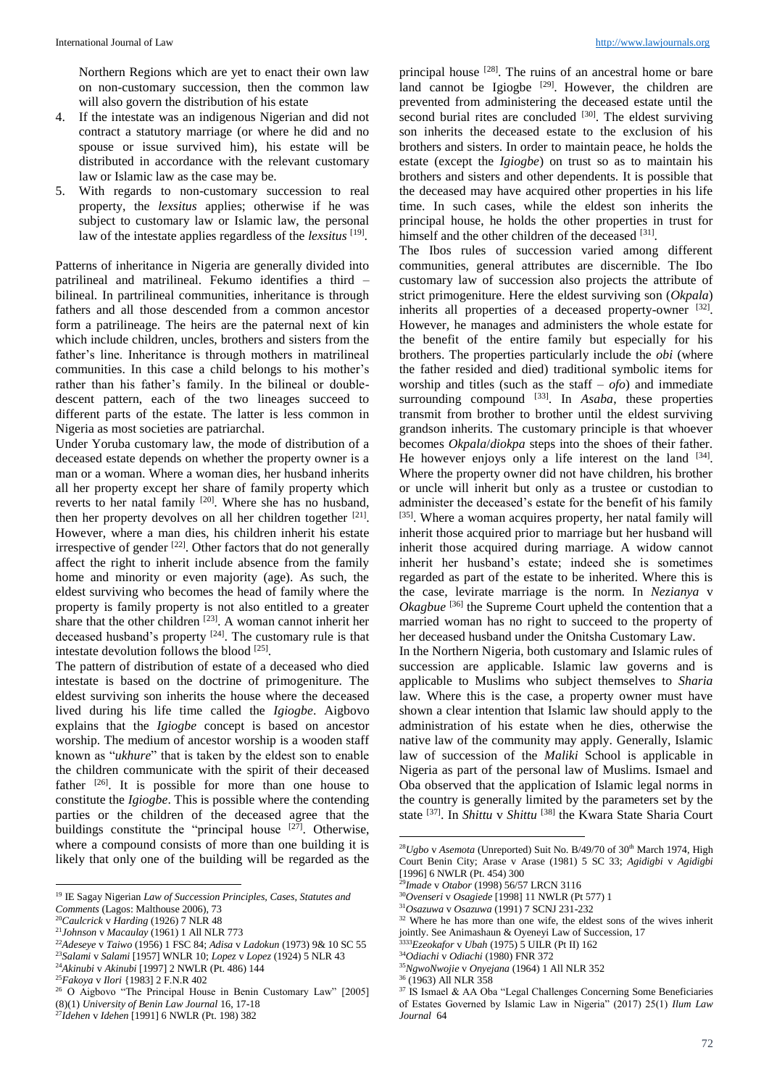Northern Regions which are yet to enact their own law on non-customary succession, then the common law will also govern the distribution of his estate

- 4. If the intestate was an indigenous Nigerian and did not contract a statutory marriage (or where he did and no spouse or issue survived him), his estate will be distributed in accordance with the relevant customary law or Islamic law as the case may be.
- 5. With regards to non-customary succession to real property, the *lexsitus* applies; otherwise if he was subject to customary law or Islamic law, the personal law of the intestate applies regardless of the *lexsitus* [19] .

Patterns of inheritance in Nigeria are generally divided into patrilineal and matrilineal. Fekumo identifies a third – bilineal. In partrilineal communities, inheritance is through fathers and all those descended from a common ancestor form a patrilineage. The heirs are the paternal next of kin which include children, uncles, brothers and sisters from the father's line. Inheritance is through mothers in matrilineal communities. In this case a child belongs to his mother's rather than his father's family. In the bilineal or doubledescent pattern, each of the two lineages succeed to different parts of the estate. The latter is less common in Nigeria as most societies are patriarchal.

Under Yoruba customary law, the mode of distribution of a deceased estate depends on whether the property owner is a man or a woman. Where a woman dies, her husband inherits all her property except her share of family property which reverts to her natal family <sup>[20]</sup>. Where she has no husband, then her property devolves on all her children together [21]. However, where a man dies, his children inherit his estate irrespective of gender  $[22]$ . Other factors that do not generally affect the right to inherit include absence from the family home and minority or even majority (age). As such, the eldest surviving who becomes the head of family where the property is family property is not also entitled to a greater share that the other children  $[23]$ . A woman cannot inherit her deceased husband's property  $[24]$ . The customary rule is that intestate devolution follows the blood [25] .

The pattern of distribution of estate of a deceased who died intestate is based on the doctrine of primogeniture. The eldest surviving son inherits the house where the deceased lived during his life time called the *Igiogbe*. Aigbovo explains that the *Igiogbe* concept is based on ancestor worship. The medium of ancestor worship is a wooden staff known as "*ukhure*" that is taken by the eldest son to enable the children communicate with the spirit of their deceased father  $[26]$ . It is possible for more than one house to constitute the *Igiogbe*. This is possible where the contending parties or the children of the deceased agree that the buildings constitute the "principal house  $[27]$ . Otherwise, where a compound consists of more than one building it is likely that only one of the building will be regarded as the

1

<sup>23</sup>*Salami* v *Salami* [1957] WNLR 10; *Lopez* v *Lopez* (1924) 5 NLR 43 <sup>24</sup>*Akinubi* v *Akinubi* [1997] 2 NWLR (Pt. 486) 144

principal house  $^{[28]}$ . The ruins of an ancestral home or bare land cannot be Igiogbe  $[29]$ . However, the children are prevented from administering the deceased estate until the second burial rites are concluded  $[30]$ . The eldest surviving son inherits the deceased estate to the exclusion of his brothers and sisters. In order to maintain peace, he holds the estate (except the *Igiogbe*) on trust so as to maintain his brothers and sisters and other dependents. It is possible that the deceased may have acquired other properties in his life time. In such cases, while the eldest son inherits the principal house, he holds the other properties in trust for himself and the other children of the deceased [31].

The Ibos rules of succession varied among different communities, general attributes are discernible. The Ibo customary law of succession also projects the attribute of strict primogeniture. Here the eldest surviving son (*Okpala*) inherits all properties of a deceased property-owner  $[32]$ . However, he manages and administers the whole estate for the benefit of the entire family but especially for his brothers. The properties particularly include the *obi* (where the father resided and died) traditional symbolic items for worship and titles (such as the staff – *ofo*) and immediate surrounding compound <sup>[33]</sup>. In *Asaba*, these properties transmit from brother to brother until the eldest surviving grandson inherits. The customary principle is that whoever becomes *Okpala*/*diokpa* steps into the shoes of their father. He however enjoys only a life interest on the land  $[34]$ . Where the property owner did not have children, his brother or uncle will inherit but only as a trustee or custodian to administer the deceased's estate for the benefit of his family [35]. Where a woman acquires property, her natal family will inherit those acquired prior to marriage but her husband will inherit those acquired during marriage. A widow cannot inherit her husband's estate; indeed she is sometimes regarded as part of the estate to be inherited. Where this is the case, levirate marriage is the norm. In *Nezianya* v Okagbue<sup>[36]</sup> the Supreme Court upheld the contention that a married woman has no right to succeed to the property of her deceased husband under the Onitsha Customary Law.

In the Northern Nigeria, both customary and Islamic rules of succession are applicable. Islamic law governs and is applicable to Muslims who subject themselves to *Sharia* law. Where this is the case, a property owner must have shown a clear intention that Islamic law should apply to the administration of his estate when he dies, otherwise the native law of the community may apply. Generally, Islamic law of succession of the *Maliki* School is applicable in Nigeria as part of the personal law of Muslims. Ismael and Oba observed that the application of Islamic legal norms in the country is generally limited by the parameters set by the state <sup>[37]</sup>. In *Shittu* v *Shittu* <sup>[38]</sup> the Kwara State Sharia Court

- <sup>30</sup>*Ovenseri* v *Osagiede* [1998] 11 NWLR (Pt 577) 1
- <sup>31</sup>*Osazuwa* v *Osazuwa* (1991) 7 SCNJ 231-232

**.** 

<sup>19</sup> IE Sagay Nigerian *Law of Succession Principles, Cases, Statutes and Comments* (Lagos: Malthouse 2006), 73

<sup>20</sup>*Caulcrick* v *Harding* (1926) 7 NLR 48

<sup>21</sup>*Johnson* v *Macaulay* (1961) 1 All NLR 773

<sup>22</sup>*Adeseye* v *Taiwo* (1956) 1 FSC 84; *Adisa* v *Ladokun* (1973) 9& 10 SC 55

<sup>25</sup>*Fakoya* v *Ilori* {1983] 2 F.N.R 402

<sup>26</sup> O Aigbovo "The Principal House in Benin Customary Law" [2005] (8)(1) *University of Benin Law Journal* 16, 17-18

<sup>27</sup>*Idehen* v *Idehen* [1991] 6 NWLR (Pt. 198) 382

<sup>&</sup>lt;sup>28</sup>Ugbo v Asemota (Unreported) Suit No. B/49/70 of 30<sup>th</sup> March 1974, High Court Benin City; Arase v Arase (1981) 5 SC 33; *Agidigbi* v *Agidigbi* [1996] 6 NWLR (Pt. 454) 300

<sup>29</sup>*Imade* v *Otabor* (1998) 56/57 LRCN 3116

<sup>&</sup>lt;sup>32</sup> Where he has more than one wife, the eldest sons of the wives inherit jointly. See Animashaun & Oyeneyi Law of Succession, 17

<sup>3333</sup>*Ezeokafor* v *Ubah* (1975) 5 UILR (Pt II) 162 <sup>34</sup>*Odiachi* v *Odiachi* (1980) FNR 372

<sup>35</sup>*NgwoNwojie* v *Onyejana* (1964) 1 All NLR 352

<sup>36</sup> (1963) All NLR 358

<sup>37</sup> IS Ismael & AA Oba "Legal Challenges Concerning Some Beneficiaries

of Estates Governed by Islamic Law in Nigeria" (2017) 25(1) *Ilum Law Journal* 64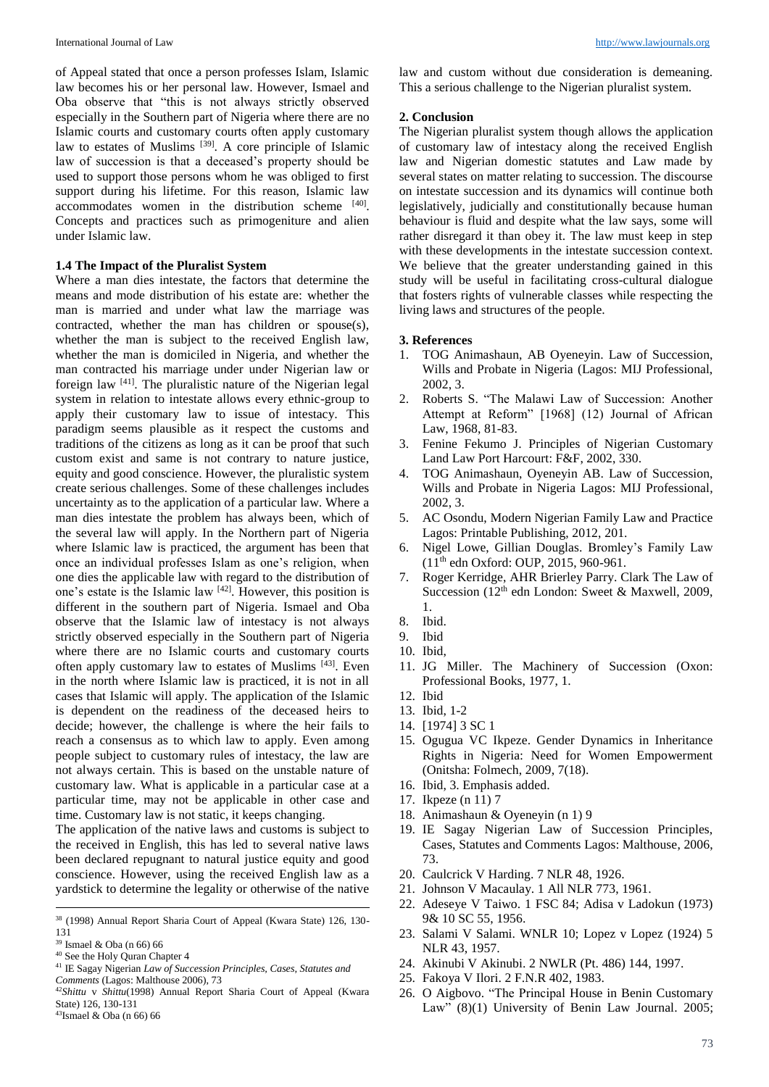of Appeal stated that once a person professes Islam, Islamic law becomes his or her personal law. However, Ismael and Oba observe that "this is not always strictly observed especially in the Southern part of Nigeria where there are no Islamic courts and customary courts often apply customary law to estates of Muslims<sup>[39]</sup>. A core principle of Islamic law of succession is that a deceased's property should be used to support those persons whom he was obliged to first support during his lifetime. For this reason, Islamic law accommodates women in the distribution scheme [40]. Concepts and practices such as primogeniture and alien under Islamic law.

### **1.4 The Impact of the Pluralist System**

Where a man dies intestate, the factors that determine the means and mode distribution of his estate are: whether the man is married and under what law the marriage was contracted, whether the man has children or spouse(s), whether the man is subject to the received English law, whether the man is domiciled in Nigeria, and whether the man contracted his marriage under under Nigerian law or foreign law <sup>[41]</sup>. The pluralistic nature of the Nigerian legal system in relation to intestate allows every ethnic-group to apply their customary law to issue of intestacy. This paradigm seems plausible as it respect the customs and traditions of the citizens as long as it can be proof that such custom exist and same is not contrary to nature justice, equity and good conscience. However, the pluralistic system create serious challenges. Some of these challenges includes uncertainty as to the application of a particular law. Where a man dies intestate the problem has always been, which of the several law will apply. In the Northern part of Nigeria where Islamic law is practiced, the argument has been that once an individual professes Islam as one's religion, when one dies the applicable law with regard to the distribution of one's estate is the Islamic law  $[42]$ . However, this position is different in the southern part of Nigeria. Ismael and Oba observe that the Islamic law of intestacy is not always strictly observed especially in the Southern part of Nigeria where there are no Islamic courts and customary courts often apply customary law to estates of Muslims<sup>[43]</sup>. Even in the north where Islamic law is practiced, it is not in all cases that Islamic will apply. The application of the Islamic is dependent on the readiness of the deceased heirs to decide; however, the challenge is where the heir fails to reach a consensus as to which law to apply. Even among people subject to customary rules of intestacy, the law are not always certain. This is based on the unstable nature of customary law. What is applicable in a particular case at a particular time, may not be applicable in other case and time. Customary law is not static, it keeps changing.

The application of the native laws and customs is subject to the received in English, this has led to several native laws been declared repugnant to natural justice equity and good conscience. However, using the received English law as a yardstick to determine the legality or otherwise of the native

1

law and custom without due consideration is demeaning. This a serious challenge to the Nigerian pluralist system.

### **2. Conclusion**

The Nigerian pluralist system though allows the application of customary law of intestacy along the received English law and Nigerian domestic statutes and Law made by several states on matter relating to succession. The discourse on intestate succession and its dynamics will continue both legislatively, judicially and constitutionally because human behaviour is fluid and despite what the law says, some will rather disregard it than obey it. The law must keep in step with these developments in the intestate succession context. We believe that the greater understanding gained in this study will be useful in facilitating cross-cultural dialogue that fosters rights of vulnerable classes while respecting the living laws and structures of the people.

### **3. References**

- 1. TOG Animashaun, AB Oyeneyin. Law of Succession, Wills and Probate in Nigeria (Lagos: MIJ Professional, 2002, 3.
- 2. Roberts S. "The Malawi Law of Succession: Another Attempt at Reform" [1968] (12) Journal of African Law, 1968, 81-83.
- 3. Fenine Fekumo J. Principles of Nigerian Customary Land Law Port Harcourt: F&F, 2002, 330.
- 4. TOG Animashaun, Oyeneyin AB. Law of Succession, Wills and Probate in Nigeria Lagos: MIJ Professional, 2002, 3.
- 5. AC Osondu, Modern Nigerian Family Law and Practice Lagos: Printable Publishing, 2012, 201.
- 6. Nigel Lowe, Gillian Douglas. Bromley's Family Law (11th edn Oxford: OUP, 2015, 960-961.
- 7. Roger Kerridge, AHR Brierley Parry. Clark The Law of Succession (12<sup>th</sup> edn London: Sweet & Maxwell, 2009, 1.
- 8. Ibid.
- 9. Ibid
- 10. Ibid,
- 11. JG Miller. The Machinery of Succession (Oxon: Professional Books, 1977, 1.
- 12. Ibid
- 13. Ibid, 1-2
- 14. [1974] 3 SC 1
- 15. Ogugua VC Ikpeze. Gender Dynamics in Inheritance Rights in Nigeria: Need for Women Empowerment (Onitsha: Folmech, 2009, 7(18).
- 16. Ibid, 3. Emphasis added.
- 17. Ikpeze (n 11) 7
- 18. Animashaun & Oyeneyin (n 1) 9
- 19. IE Sagay Nigerian Law of Succession Principles, Cases, Statutes and Comments Lagos: Malthouse, 2006, 73.
- 20. Caulcrick V Harding. 7 NLR 48, 1926.
- 21. Johnson V Macaulay. 1 All NLR 773, 1961.
- 22. Adeseye V Taiwo. 1 FSC 84; Adisa v Ladokun (1973) 9& 10 SC 55, 1956.
- 23. Salami V Salami. WNLR 10; Lopez v Lopez (1924) 5 NLR 43, 1957.
- 24. Akinubi V Akinubi. 2 NWLR (Pt. 486) 144, 1997.
- 25. Fakoya V Ilori. 2 F.N.R 402, 1983.
- 26. O Aigbovo. "The Principal House in Benin Customary Law" (8)(1) University of Benin Law Journal. 2005;

<sup>38</sup> (1998) Annual Report Sharia Court of Appeal (Kwara State) 126, 130- 131

<sup>39</sup> Ismael & Oba (n 66) 66

<sup>40</sup> See the Holy Quran Chapter 4

<sup>41</sup> IE Sagay Nigerian *Law of Succession Principles, Cases, Statutes and Comments* (Lagos: Malthouse 2006), 73

<sup>42</sup>*Shittu* v *Shittu*(1998) Annual Report Sharia Court of Appeal (Kwara State) 126, 130-131 <sup>43</sup>Ismael & Oba (n 66) 66